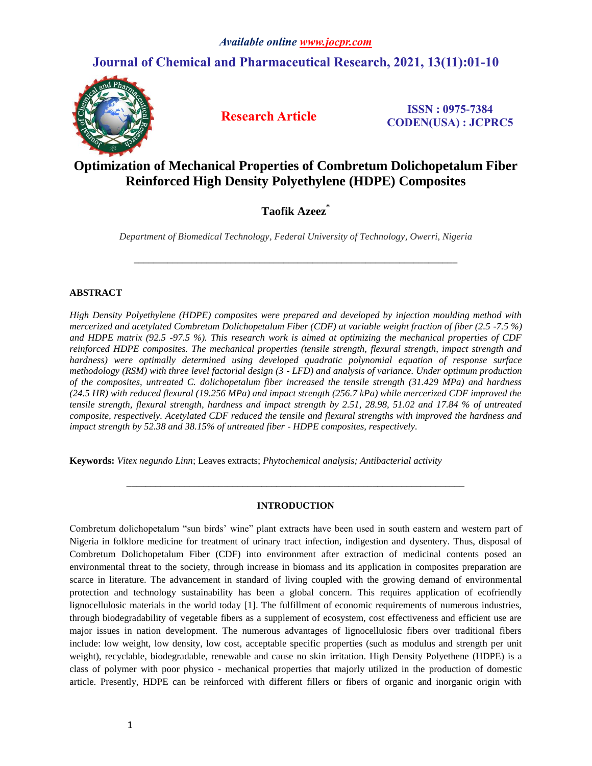# **Journal of Chemical and Pharmaceutical Research, 2021, 13(11):01-10**



 **Research Article ISSN : 0975-7384 CODEN(USA) : JCPRC5**

# **Optimization of Mechanical Properties of Combretum Dolichopetalum Fiber Reinforced High Density Polyethylene (HDPE) Composites**

## **Taofik Azeez\***

*Department of Biomedical Technology, Federal University of Technology, Owerri, Nigeria*

*\_\_\_\_\_\_\_\_\_\_\_\_\_\_\_\_\_\_\_\_\_\_\_\_\_\_\_\_\_\_\_\_\_\_\_\_\_\_\_\_\_\_\_\_\_\_\_\_\_\_\_\_\_\_\_\_\_\_\_\_\_\_\_\_\_\_\_*

## **ABSTRACT**

*High Density Polyethylene (HDPE) composites were prepared and developed by injection moulding method with mercerized and acetylated Combretum Dolichopetalum Fiber (CDF) at variable weight fraction of fiber (2.5 -7.5 %) and HDPE matrix (92.5 -97.5 %). This research work is aimed at optimizing the mechanical properties of CDF reinforced HDPE composites. The mechanical properties (tensile strength, flexural strength, impact strength and hardness) were optimally determined using developed quadratic polynomial equation of response surface methodology (RSM) with three level factorial design (3 - LFD) and analysis of variance. Under optimum production of the composites, untreated C. dolichopetalum fiber increased the tensile strength (31.429 MPa) and hardness (24.5 HR) with reduced flexural (19.256 MPa) and impact strength (256.7 kPa) while mercerized CDF improved the tensile strength, flexural strength, hardness and impact strength by 2.51, 28.98, 51.02 and 17.84 % of untreated composite, respectively. Acetylated CDF reduced the tensile and flexural strengths with improved the hardness and impact strength by 52.38 and 38.15% of untreated fiber - HDPE composites, respectively.*

**Keywords:** *Vitex negundo Linn*; Leaves extracts; *Phytochemical analysis; Antibacterial activity*

## **INTRODUCTION**

*\_\_\_\_\_\_\_\_\_\_\_\_\_\_\_\_\_\_\_\_\_\_\_\_\_\_\_\_\_\_\_\_\_\_\_\_\_\_\_\_\_\_\_\_\_\_\_\_\_\_\_\_\_\_\_\_\_\_\_\_\_\_\_\_\_\_\_\_\_\_*

Combretum dolichopetalum "sun birds' wine" plant extracts have been used in south eastern and western part of Nigeria in folklore medicine for treatment of urinary tract infection, indigestion and dysentery. Thus, disposal of Combretum Dolichopetalum Fiber (CDF) into environment after extraction of medicinal contents posed an environmental threat to the society, through increase in biomass and its application in composites preparation are scarce in literature. The advancement in standard of living coupled with the growing demand of environmental protection and technology sustainability has been a global concern. This requires application of ecofriendly lignocellulosic materials in the world today [1]. The fulfillment of economic requirements of numerous industries, through biodegradability of vegetable fibers as a supplement of ecosystem, cost effectiveness and efficient use are major issues in nation development. The numerous advantages of lignocellulosic fibers over traditional fibers include: low weight, low density, low cost, acceptable specific properties (such as modulus and strength per unit weight), recyclable, biodegradable, renewable and cause no skin irritation. High Density Polyethene (HDPE) is a class of polymer with poor physico - mechanical properties that majorly utilized in the production of domestic article. Presently, HDPE can be reinforced with different fillers or fibers of organic and inorganic origin with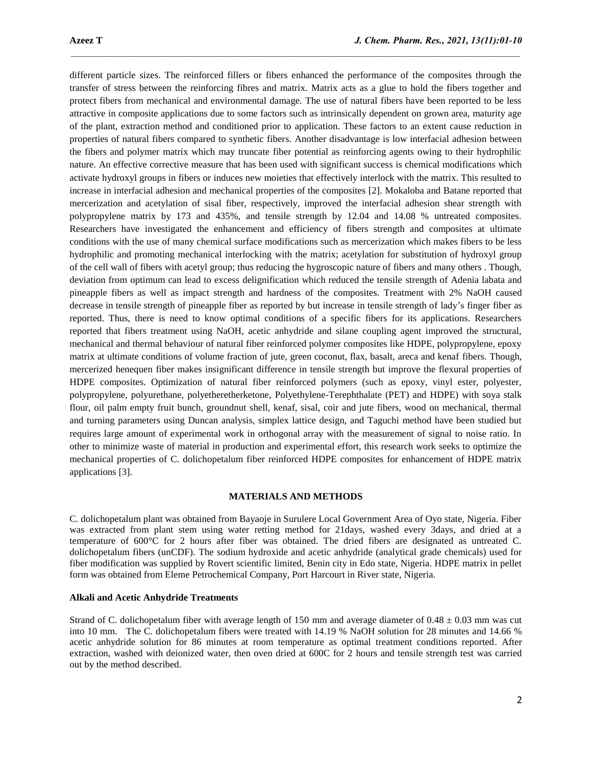different particle sizes. The reinforced fillers or fibers enhanced the performance of the composites through the transfer of stress between the reinforcing fibres and matrix. Matrix acts as a glue to hold the fibers together and protect fibers from mechanical and environmental damage. The use of natural fibers have been reported to be less attractive in composite applications due to some factors such as intrinsically dependent on grown area, maturity age of the plant, extraction method and conditioned prior to application. These factors to an extent cause reduction in properties of natural fibers compared to synthetic fibers. Another disadvantage is low interfacial adhesion between the fibers and polymer matrix which may truncate fiber potential as reinforcing agents owing to their hydrophilic nature. An effective corrective measure that has been used with significant success is chemical modifications which activate hydroxyl groups in fibers or induces new moieties that effectively interlock with the matrix. This resulted to increase in interfacial adhesion and mechanical properties of the composites [2]. Mokaloba and Batane reported that mercerization and acetylation of sisal fiber, respectively, improved the interfacial adhesion shear strength with polypropylene matrix by 173 and 435%, and tensile strength by 12.04 and 14.08 % untreated composites. Researchers have investigated the enhancement and efficiency of fibers strength and composites at ultimate conditions with the use of many chemical surface modifications such as mercerization which makes fibers to be less hydrophilic and promoting mechanical interlocking with the matrix; acetylation for substitution of hydroxyl group of the cell wall of fibers with acetyl group; thus reducing the hygroscopic nature of fibers and many others . Though, deviation from optimum can lead to excess delignification which reduced the tensile strength of Adenia labata and pineapple fibers as well as impact strength and hardness of the composites. Treatment with 2% NaOH caused decrease in tensile strength of pineapple fiber as reported by but increase in tensile strength of lady's finger fiber as reported. Thus, there is need to know optimal conditions of a specific fibers for its applications. Researchers reported that fibers treatment using NaOH, acetic anhydride and silane coupling agent improved the structural, mechanical and thermal behaviour of natural fiber reinforced polymer composites like HDPE, polypropylene, epoxy matrix at ultimate conditions of volume fraction of jute, green coconut, flax, basalt, areca and kenaf fibers. Though, mercerized henequen fiber makes insignificant difference in tensile strength but improve the flexural properties of HDPE composites. Optimization of natural fiber reinforced polymers (such as epoxy, vinyl ester, polyester, polypropylene, polyurethane, polyetheretherketone, Polyethylene-Terephthalate (PET) and HDPE) with soya stalk flour, oil palm empty fruit bunch, groundnut shell, kenaf, sisal, coir and jute fibers, wood on mechanical, thermal and turning parameters using Duncan analysis, simplex lattice design, and Taguchi method have been studied but requires large amount of experimental work in orthogonal array with the measurement of signal to noise ratio. In other to minimize waste of material in production and experimental effort, this research work seeks to optimize the mechanical properties of C. dolichopetalum fiber reinforced HDPE composites for enhancement of HDPE matrix applications [3].

 $\mathcal{L}_\mathcal{L} = \mathcal{L}_\mathcal{L}$ 

#### **MATERIALS AND METHODS**

C. dolichopetalum plant was obtained from Bayaoje in Surulere Local Government Area of Oyo state, Nigeria. Fiber was extracted from plant stem using water retting method for 21days, washed every 3days, and dried at a temperature of 600°C for 2 hours after fiber was obtained. The dried fibers are designated as untreated C. dolichopetalum fibers (unCDF). The sodium hydroxide and acetic anhydride (analytical grade chemicals) used for fiber modification was supplied by Rovert scientific limited, Benin city in Edo state, Nigeria. HDPE matrix in pellet form was obtained from Eleme Petrochemical Company, Port Harcourt in River state, Nigeria.

#### **Alkali and Acetic Anhydride Treatments**

Strand of C. dolichopetalum fiber with average length of 150 mm and average diameter of  $0.48 \pm 0.03$  mm was cut into 10 mm. The C. dolichopetalum fibers were treated with 14.19 % NaOH solution for 28 minutes and 14.66 % acetic anhydride solution for 86 minutes at room temperature as optimal treatment conditions reported. After extraction, washed with deionized water, then oven dried at 600C for 2 hours and tensile strength test was carried out by the method described.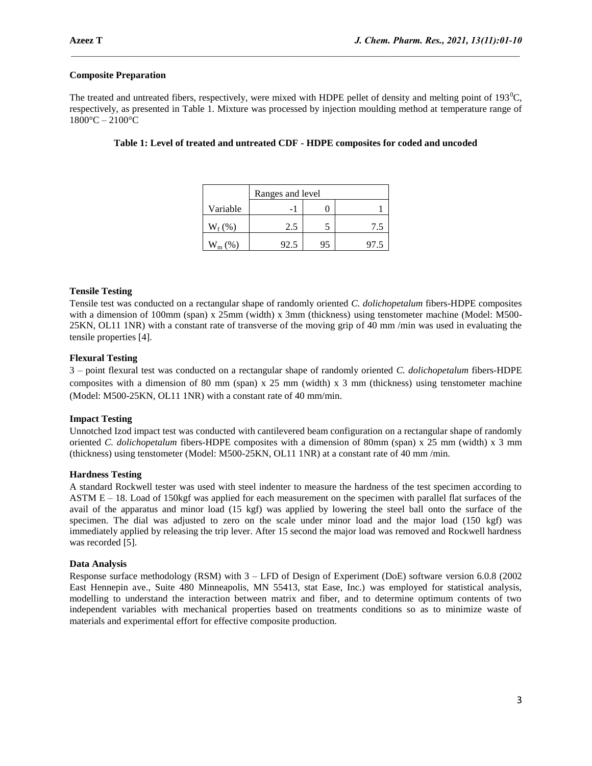## **Composite Preparation**

The treated and untreated fibers, respectively, were mixed with HDPE pellet of density and melting point of  $193^{\circ}$ C, respectively, as presented in Table 1. Mixture was processed by injection moulding method at temperature range of  $1800^{\circ}$ C – 2100 $^{\circ}$ C

 $\mathcal{L}_\mathcal{L} = \mathcal{L}_\mathcal{L}$ 

## **Table 1: Level of treated and untreated CDF - HDPE composites for coded and uncoded**

|           | Ranges and level |    |     |  |  |  |  |
|-----------|------------------|----|-----|--|--|--|--|
| Variable  |                  |    |     |  |  |  |  |
| $W_f$ (%) | 2.5              |    | 7.5 |  |  |  |  |
| (96)      | 92.5             | 95 |     |  |  |  |  |

#### **Tensile Testing**

Tensile test was conducted on a rectangular shape of randomly oriented *C. dolichopetalum* fibers-HDPE composites with a dimension of 100mm (span) x 25mm (width) x 3mm (thickness) using tenstometer machine (Model: M500-25KN, OL11 1NR) with a constant rate of transverse of the moving grip of 40 mm /min was used in evaluating the tensile properties [4].

#### **Flexural Testing**

3 – point flexural test was conducted on a rectangular shape of randomly oriented *C. dolichopetalum* fibers-HDPE composites with a dimension of 80 mm (span) x 25 mm (width) x 3 mm (thickness) using tenstometer machine (Model: M500-25KN, OL11 1NR) with a constant rate of 40 mm/min.

#### **Impact Testing**

Unnotched Izod impact test was conducted with cantilevered beam configuration on a rectangular shape of randomly oriented *C. dolichopetalum* fibers-HDPE composites with a dimension of 80mm (span) x 25 mm (width) x 3 mm (thickness) using tenstometer (Model: M500-25KN, OL11 1NR) at a constant rate of 40 mm /min.

#### **Hardness Testing**

A standard Rockwell tester was used with steel indenter to measure the hardness of the test specimen according to ASTM E – 18. Load of 150kgf was applied for each measurement on the specimen with parallel flat surfaces of the avail of the apparatus and minor load (15 kgf) was applied by lowering the steel ball onto the surface of the specimen. The dial was adjusted to zero on the scale under minor load and the major load (150 kgf) was immediately applied by releasing the trip lever. After 15 second the major load was removed and Rockwell hardness was recorded [5].

#### **Data Analysis**

Response surface methodology (RSM) with 3 – LFD of Design of Experiment (DoE) software version 6.0.8 (2002 East Hennepin ave., Suite 480 Minneapolis, MN 55413, stat Ease, Inc.) was employed for statistical analysis, modelling to understand the interaction between matrix and fiber, and to determine optimum contents of two independent variables with mechanical properties based on treatments conditions so as to minimize waste of materials and experimental effort for effective composite production.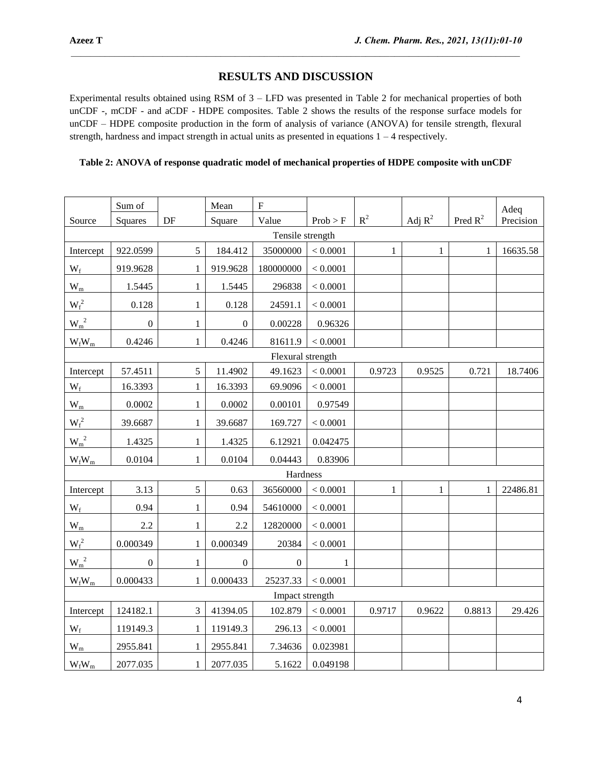## **RESULTS AND DISCUSSION**

 $\mathcal{L}_\mathcal{L} = \mathcal{L}_\mathcal{L}$ 

Experimental results obtained using RSM of 3 – LFD was presented in Table 2 for mechanical properties of both unCDF -, mCDF - and aCDF - HDPE composites. Table 2 shows the results of the response surface models for unCDF – HDPE composite production in the form of analysis of variance (ANOVA) for tensile strength, flexural strength, hardness and impact strength in actual units as presented in equations 1 – 4 respectively.

## **Table 2: ANOVA of response quadratic model of mechanical properties of HDPE composite with unCDF**

|                                              | Sum of           |              | Mean             | $\boldsymbol{\mathrm{F}}$ |            |              |              |            | Adeq      |
|----------------------------------------------|------------------|--------------|------------------|---------------------------|------------|--------------|--------------|------------|-----------|
| Source                                       | Squares          | DF           | Square           | Value                     | Prob > F   | $R^2$        | Adj $R^2$    | Pred $R^2$ | Precision |
| Tensile strength                             |                  |              |                  |                           |            |              |              |            |           |
| Intercept                                    | 922.0599         | 5            | 184.412          | 35000000                  | < 0.0001   | $\mathbf{1}$ | $\mathbf{1}$ | 1          | 16635.58  |
| $W_f$                                        | 919.9628         | 1            | 919.9628         | 180000000                 | < 0.0001   |              |              |            |           |
| $\mathbf{W}_{\rm m}$                         | 1.5445           | 1            | 1.5445           | 296838                    | < 0.0001   |              |              |            |           |
| $W_f^2$                                      | 0.128            | 1            | 0.128            | 24591.1                   | < 0.0001   |              |              |            |           |
| ${W_m}^2$                                    | $\boldsymbol{0}$ | 1            | $\boldsymbol{0}$ | 0.00228                   | 0.96326    |              |              |            |           |
| $W_fW_m$                                     | 0.4246           | 1            | 0.4246           | 81611.9                   | < 0.0001   |              |              |            |           |
|                                              |                  |              |                  | Flexural strength         |            |              |              |            |           |
| Intercept                                    | 57.4511          | 5            | 11.4902          | 49.1623                   | < 0.0001   | 0.9723       | 0.9525       | 0.721      | 18.7406   |
| $W_f$                                        | 16.3393          | 1            | 16.3393          | 69.9096                   | $< 0.0001$ |              |              |            |           |
| $\mathbf{W}_{\rm m}$                         | 0.0002           | 1            | 0.0002           | 0.00101                   | 0.97549    |              |              |            |           |
| $W_f^{\,2}$                                  | 39.6687          | 1            | 39.6687          | 169.727                   | < 0.0001   |              |              |            |           |
| $\mbox{W}_{\mbox{\scriptsize m}}^{\ \ 2}$    | 1.4325           | 1            | 1.4325           | 6.12921                   | 0.042475   |              |              |            |           |
| $W_fW_m$                                     | 0.0104           | 1            | 0.0104           | 0.04443                   | 0.83906    |              |              |            |           |
|                                              |                  |              |                  | Hardness                  |            |              |              |            |           |
| Intercept                                    | 3.13             | 5            | 0.63             | 36560000                  | < 0.0001   | $\mathbf{1}$ | $\mathbf{1}$ | 1          | 22486.81  |
| $W_f$                                        | 0.94             | 1            | 0.94             | 54610000                  | < 0.0001   |              |              |            |           |
| $\mathbf{W}_{\rm m}$                         | 2.2              | $\mathbf{1}$ | 2.2              | 12820000                  | < 0.0001   |              |              |            |           |
| $W_{\rm f}^{\,2}$                            | 0.000349         | 1            | 0.000349         | 20384                     | < 0.0001   |              |              |            |           |
| $\mbox{W}_{\mbox{\scriptsize m}}^{\ \ 2}$    | $\mathbf{0}$     | 1            | $\boldsymbol{0}$ | $\overline{0}$            | 1          |              |              |            |           |
| $W_{\rm f} W_{\rm m}$                        | 0.000433         | 1            | 0.000433         | 25237.33                  | < 0.0001   |              |              |            |           |
| Impact strength                              |                  |              |                  |                           |            |              |              |            |           |
| Intercept                                    | 124182.1         | 3            | 41394.05         | 102.879                   | < 0.0001   | 0.9717       | 0.9622       | 0.8813     | 29.426    |
| $W_f$                                        | 119149.3         | 1            | 119149.3         | 296.13                    | < 0.0001   |              |              |            |           |
| $\mathbf{W}_{\mathrm{m}}$                    | 2955.841         | 1            | 2955.841         | 7.34636                   | 0.023981   |              |              |            |           |
| $\mathbf{W}_\mathrm{f}\mathbf{W}_\mathrm{m}$ | 2077.035         | $\mathbf{1}$ | 2077.035         | 5.1622                    | 0.049198   |              |              |            |           |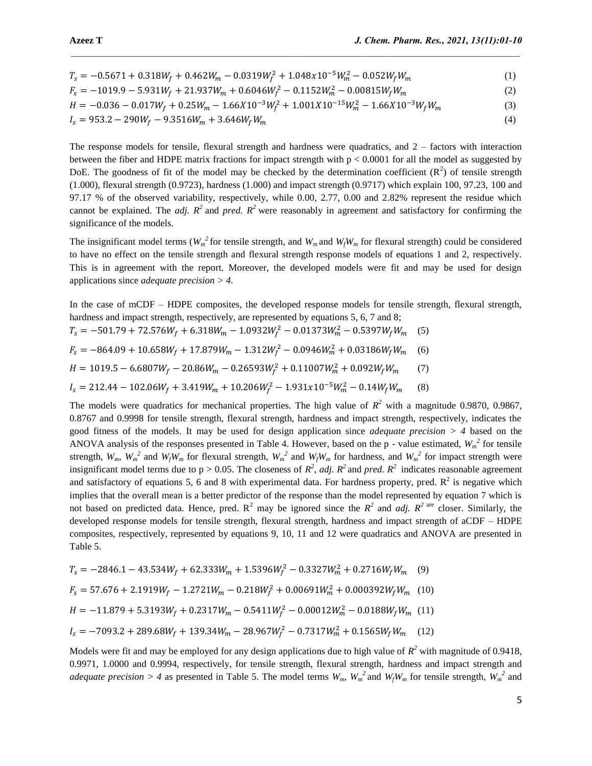$$
T_s = -0.5671 + 0.318W_f + 0.462W_m - 0.0319W_f^2 + 1.048x10^{-5}W_m^2 - 0.052W_fW_m
$$
\n
$$
F_s = -1019.9 - 5.931W_f + 21.937W_m + 0.6046W_f^2 - 0.1152W_m^2 - 0.00815W_fW_m
$$
\n
$$
H = -0.036 - 0.017W_f + 0.25W_m - 1.66X10^{-3}W_f^2 + 1.001X10^{-15}W_m^2 - 1.66X10^{-3}W_fW_m
$$
\n
$$
I_s = 953.2 - 290W_f - 9.3516W_m + 3.646W_fW_m
$$
\n(4)

 $\mathcal{L}_\mathcal{L} = \mathcal{L}_\mathcal{L}$ 

The response models for tensile, flexural strength and hardness were quadratics, and  $2 -$  factors with interaction between the fiber and HDPE matrix fractions for impact strength with  $p < 0.0001$  for all the model as suggested by DoE. The goodness of fit of the model may be checked by the determination coefficient  $(R^2)$  of tensile strength (1.000), flexural strength (0.9723), hardness (1.000) and impact strength (0.9717) which explain 100, 97.23, 100 and 97.17 % of the observed variability, respectively, while 0.00, 2.77, 0.00 and 2.82% represent the residue which cannot be explained. The *adj.*  $R^2$  and *pred.*  $R^2$  were reasonably in agreement and satisfactory for confirming the significance of the models.

The insignificant model terms  $(W_m^2$  for tensile strength, and  $W_m$  and  $W_fW_m$  for flexural strength) could be considered to have no effect on the tensile strength and flexural strength response models of equations 1 and 2, respectively. This is in agreement with the report. Moreover, the developed models were fit and may be used for design applications since *adequate precision > 4.*

In the case of mCDF – HDPE composites, the developed response models for tensile strength, flexural strength, hardness and impact strength, respectively, are represented by equations 5, 6, 7 and 8;

 $T_s = -501.79 + 72.576W_f + 6.318W_m - 1.0932W_f^2 - 0.01373W_m^2 - 0.5397W_fW_m$  (5)

 $F_s = -864.09 + 10.658W_f + 17.879W_m - 1.312W_f^2 - 0.0946W_m^2 + 0.03186W_fW_m$  (6)

$$
H = 1019.5 - 6.6807W_f - 20.86W_m - 0.26593W_f^2 + 0.11007W_m^2 + 0.092W_fW_m \tag{7}
$$

$$
I_s = 212.44 - 102.06W_f + 3.419W_m + 10.206W_f^2 - 1.931x10^{-5}W_m^2 - 0.14W_fW_m \tag{8}
$$

The models were quadratics for mechanical properties. The high value of  $R^2$  with a magnitude 0.9870, 0.9867, 0.8767 and 0.9998 for tensile strength, flexural strength, hardness and impact strength, respectively, indicates the good fitness of the models. It may be used for design application since *adequate precision > 4* based on the ANOVA analysis of the responses presented in Table 4. However, based on the p - value estimated,  $W_m^2$  for tensile strength,  $W_{m}$ ,  $W_{m}^{2}$  and  $W_{f}W_{m}$  for flexural strength,  $W_{m}^{2}$  and  $W_{f}W_{m}$  for hardness, and  $W_{m}^{2}$  for impact strength were insignificant model terms due to  $p > 0.05$ . The closeness of  $R^2$ , *adj.*  $R^2$  and *pred.*  $R^2$  indicates reasonable agreement and satisfactory of equations 5, 6 and 8 with experimental data. For hardness property, pred.  $R^2$  is negative which implies that the overall mean is a better predictor of the response than the model represented by equation 7 which is not based on predicted data. Hence, pred.  $R^2$  may be ignored since the  $R^2$  and *adj.*  $R^2$ <sup>are</sup> closer. Similarly, the developed response models for tensile strength, flexural strength, hardness and impact strength of aCDF – HDPE composites, respectively, represented by equations 9, 10, 11 and 12 were quadratics and ANOVA are presented in Table 5.

$$
T_s = -2846.1 - 43.534W_f + 62.333W_m + 1.5396W_f^2 - 0.3327W_m^2 + 0.2716W_fW_m
$$
 (9)  
\n
$$
F_s = 57.676 + 2.1919W_f - 1.2721W_m - 0.218W_f^2 + 0.00691W_m^2 + 0.000392W_fW_m
$$
 (10)  
\n
$$
H = -11.879 + 5.3193W_f + 0.2317W_m - 0.5411W_f^2 - 0.00012W_m^2 - 0.0188W_fW_m
$$
 (11)  
\n
$$
I_s = -7093.2 + 289.68W_f + 139.34W_m - 28.967W_f^2 - 0.7317W_m^2 + 0.1565W_fW_m
$$
 (12)

Models were fit and may be employed for any design applications due to high value of  $R^2$  with magnitude of 0.9418, 0.9971, 1.0000 and 0.9994, respectively, for tensile strength, flexural strength, hardness and impact strength and *adequate precision* > 4 as presented in Table 5. The model terms  $W_{m}$ ,  $W_{m}^{2}$  and  $W_{f}W_{m}$  for tensile strength,  $W_{m}^{2}$  and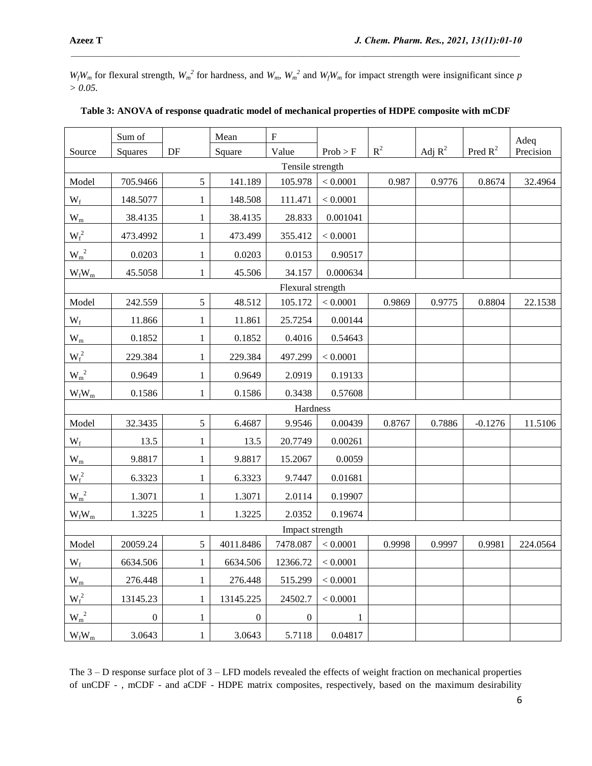$W_fW_m$  for flexural strength,  $W_m^2$  for hardness, and  $W_m$ ,  $W_m^2$  and  $W_fW_m$  for impact strength were insignificant since p *> 0.05.*

 $\mathcal{L}_\mathcal{L} = \mathcal{L}_\mathcal{L}$ 

|                                              | Sum of           |                | Mean             | ${\bf F}$         |              |        |           |            | Adeq      |
|----------------------------------------------|------------------|----------------|------------------|-------------------|--------------|--------|-----------|------------|-----------|
| Source                                       | Squares          | DF             | Square           | Value             | Prob > F     | $R^2$  | Adj $R^2$ | Pred $R^2$ | Precision |
| Tensile strength                             |                  |                |                  |                   |              |        |           |            |           |
| Model                                        | 705.9466         | 5              | 141.189          | 105.978           | < 0.0001     | 0.987  | 0.9776    | 0.8674     | 32.4964   |
| $\mathbf{W}_{\mathrm{f}}$                    | 148.5077         | 1              | 148.508          | 111.471           | < 0.0001     |        |           |            |           |
| $\mathbf{W}_{\rm m}$                         | 38.4135          | 1              | 38.4135          | 28.833            | 0.001041     |        |           |            |           |
| $W_{\rm f}^{\,2}$                            | 473.4992         | 1              | 473.499          | 355.412           | < 0.0001     |        |           |            |           |
| $\mbox{W}_{\mbox{\scriptsize m}}^{\ \ 2}$    | 0.0203           | 1              | 0.0203           | 0.0153            | 0.90517      |        |           |            |           |
| $W_fW_m$                                     | 45.5058          | 1              | 45.506           | 34.157            | 0.000634     |        |           |            |           |
|                                              |                  |                |                  | Flexural strength |              |        |           |            |           |
| Model                                        | 242.559          | $\mathfrak{S}$ | 48.512           | 105.172           | < 0.0001     | 0.9869 | 0.9775    | 0.8804     | 22.1538   |
| $W_f$                                        | 11.866           | 1              | 11.861           | 25.7254           | 0.00144      |        |           |            |           |
| $\mathbf{W}_{\rm m}$                         | 0.1852           | 1              | 0.1852           | 0.4016            | 0.54643      |        |           |            |           |
| $W_f^2$                                      | 229.384          | 1              | 229.384          | 497.299           | $< 0.0001$   |        |           |            |           |
| ${W_m}^2$                                    | 0.9649           | 1              | 0.9649           | 2.0919            | 0.19133      |        |           |            |           |
| $W_{\rm f} W_{\rm m}$                        | 0.1586           | 1              | 0.1586           | 0.3438            | 0.57608      |        |           |            |           |
|                                              |                  |                |                  | Hardness          |              |        |           |            |           |
| Model                                        | 32.3435          | 5              | 6.4687           | 9.9546            | 0.00439      | 0.8767 | 0.7886    | $-0.1276$  | 11.5106   |
| $\mathbf{W}_{\mathrm{f}}$                    | 13.5             | 1              | 13.5             | 20.7749           | 0.00261      |        |           |            |           |
| $\mathbf{W}_{\rm m}$                         | 9.8817           | 1              | 9.8817           | 15.2067           | 0.0059       |        |           |            |           |
| $\mathbf{W_{f}^{\,2}}$                       | 6.3323           | 1              | 6.3323           | 9.7447            | 0.01681      |        |           |            |           |
| $\mbox{W}_{\mbox{\scriptsize m}}^{\ \ 2}$    | 1.3071           | 1              | 1.3071           | 2.0114            | 0.19907      |        |           |            |           |
| $W_fW_m$                                     | 1.3225           | 1              | 1.3225           | 2.0352            | 0.19674      |        |           |            |           |
|                                              |                  |                |                  | Impact strength   |              |        |           |            |           |
| Model                                        | 20059.24         | 5              | 4011.8486        | 7478.087          | < 0.0001     | 0.9998 | 0.9997    | 0.9981     | 224.0564  |
| $\rm W_{f}$                                  | 6634.506         | 1              | 6634.506         | 12366.72          | < 0.0001     |        |           |            |           |
| $\mathbf{W}_{\rm m}$                         | 276.448          | 1              | 276.448          | 515.299           | < 0.0001     |        |           |            |           |
| $W_f^2$                                      | 13145.23         | $\mathbf{1}$   | 13145.225        | 24502.7           | < 0.0001     |        |           |            |           |
| $\mbox{W}_{\mbox{\scriptsize m}}^{\ \ 2}$    | $\boldsymbol{0}$ | $\mathbf{1}$   | $\boldsymbol{0}$ | $\boldsymbol{0}$  | $\mathbf{1}$ |        |           |            |           |
| $\mathbf{W}_\mathrm{f}\mathbf{W}_\mathrm{m}$ | 3.0643           | 1              | 3.0643           | 5.7118            | 0.04817      |        |           |            |           |

|  |  |  | Table 3: ANOVA of response quadratic model of mechanical properties of HDPE composite with mCDF |
|--|--|--|-------------------------------------------------------------------------------------------------|
|  |  |  |                                                                                                 |

The 3 – D response surface plot of 3 – LFD models revealed the effects of weight fraction on mechanical properties of unCDF - , mCDF - and aCDF - HDPE matrix composites, respectively, based on the maximum desirability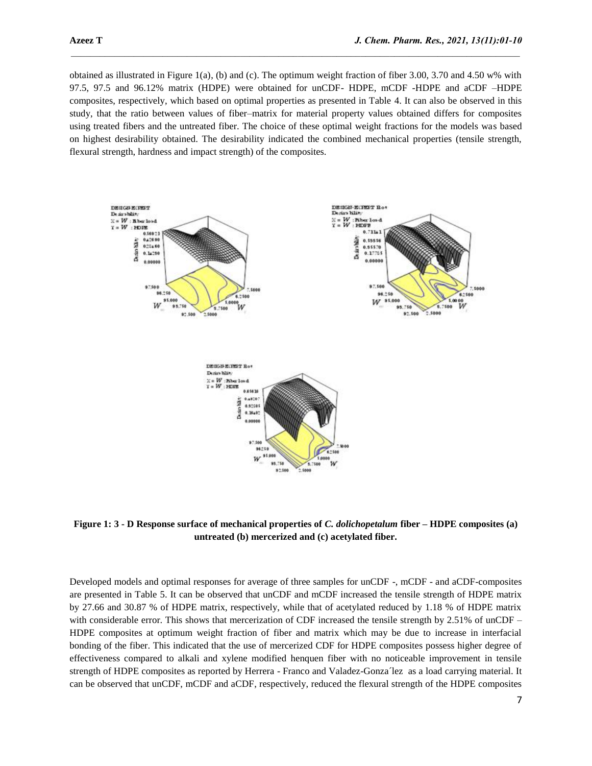obtained as illustrated in Figure 1(a), (b) and (c). The optimum weight fraction of fiber 3.00, 3.70 and 4.50 w% with 97.5, 97.5 and 96.12% matrix (HDPE) were obtained for unCDF- HDPE, mCDF -HDPE and aCDF –HDPE composites, respectively, which based on optimal properties as presented in Table 4. It can also be observed in this study, that the ratio between values of fiber–matrix for material property values obtained differs for composites using treated fibers and the untreated fiber. The choice of these optimal weight fractions for the models was based on highest desirability obtained. The desirability indicated the combined mechanical properties (tensile strength, flexural strength, hardness and impact strength) of the composites.

 $\mathcal{L}_\mathcal{L} = \mathcal{L}_\mathcal{L}$ 



**Figure 1: 3 - D Response surface of mechanical properties of** *C. dolichopetalum* **fiber – HDPE composites (a) untreated (b) mercerized and (c) acetylated fiber.**

Developed models and optimal responses for average of three samples for unCDF -, mCDF - and aCDF-composites are presented in Table 5. It can be observed that unCDF and mCDF increased the tensile strength of HDPE matrix by 27.66 and 30.87 % of HDPE matrix, respectively, while that of acetylated reduced by 1.18 % of HDPE matrix with considerable error. This shows that mercerization of CDF increased the tensile strength by 2.51% of unCDF – HDPE composites at optimum weight fraction of fiber and matrix which may be due to increase in interfacial bonding of the fiber. This indicated that the use of mercerized CDF for HDPE composites possess higher degree of effectiveness compared to alkali and xylene modified henquen fiber with no noticeable improvement in tensile strength of HDPE composites as reported by Herrera - Franco and Valadez-Gonza´lez as a load carrying material. It can be observed that unCDF, mCDF and aCDF, respectively, reduced the flexural strength of the HDPE composites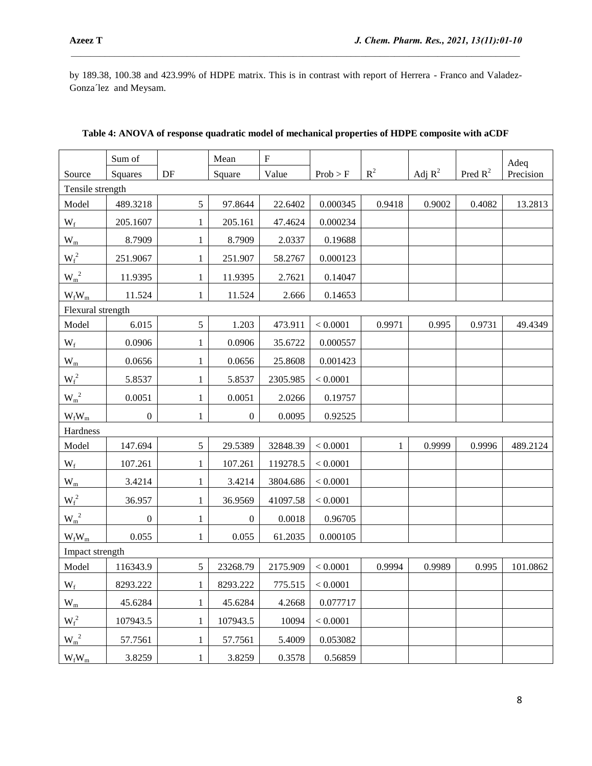by 189.38, 100.38 and 423.99% of HDPE matrix. This is in contrast with report of Herrera - Franco and Valadez-Gonza´lez and Meysam.

 $\mathcal{L}_\mathcal{L} = \mathcal{L}_\mathcal{L}$ 

|                                           | Sum of           |              | Mean             | $\overline{F}$ |          |        |           |            | Adeq      |
|-------------------------------------------|------------------|--------------|------------------|----------------|----------|--------|-----------|------------|-----------|
| Source                                    | <b>Squares</b>   | DF           | Square           | Value          | Prob > F | $R^2$  | Adj $R^2$ | Pred $R^2$ | Precision |
| Tensile strength                          |                  |              |                  |                |          |        |           |            |           |
| Model                                     | 489.3218         | 5            | 97.8644          | 22.6402        | 0.000345 | 0.9418 | 0.9002    | 0.4082     | 13.2813   |
| $\mathbf{W}_{\mathrm{f}}$                 | 205.1607         | 1            | 205.161          | 47.4624        | 0.000234 |        |           |            |           |
| $\mathbf{W}_{\mathrm{m}}$                 | 8.7909           | 1            | 8.7909           | 2.0337         | 0.19688  |        |           |            |           |
| $W_f^2$                                   | 251.9067         | 1            | 251.907          | 58.2767        | 0.000123 |        |           |            |           |
| $\mbox{W}_{\rm m}{}^2$                    | 11.9395          | 1            | 11.9395          | 2.7621         | 0.14047  |        |           |            |           |
| $W_fW_m$                                  | 11.524           | 1            | 11.524           | 2.666          | 0.14653  |        |           |            |           |
| Flexural strength                         |                  |              |                  |                |          |        |           |            |           |
| Model                                     | 6.015            | 5            | 1.203            | 473.911        | < 0.0001 | 0.9971 | 0.995     | 0.9731     | 49.4349   |
| $W_f$                                     | 0.0906           | 1            | 0.0906           | 35.6722        | 0.000557 |        |           |            |           |
| $\mathbf{W}_{\mathrm{m}}$                 | 0.0656           | 1            | 0.0656           | 25.8608        | 0.001423 |        |           |            |           |
| $W_f^{\,2}$                               | 5.8537           | $\mathbf{1}$ | 5.8537           | 2305.985       | < 0.0001 |        |           |            |           |
| $\mbox{W}_{\mbox{\scriptsize m}}^{\ \ 2}$ | 0.0051           | 1            | 0.0051           | 2.0266         | 0.19757  |        |           |            |           |
| $W_fW_m$                                  | $\boldsymbol{0}$ | $\mathbf{1}$ | $\overline{0}$   | 0.0095         | 0.92525  |        |           |            |           |
| Hardness                                  |                  |              |                  |                |          |        |           |            |           |
| Model                                     | 147.694          | 5            | 29.5389          | 32848.39       | < 0.0001 | 1      | 0.9999    | 0.9996     | 489.2124  |
| $W_f$                                     | 107.261          | $\mathbf{1}$ | 107.261          | 119278.5       | < 0.0001 |        |           |            |           |
| $\mathbf{W}_{\rm m}$                      | 3.4214           | 1            | 3.4214           | 3804.686       | < 0.0001 |        |           |            |           |
| $\mathbf{W_f}^2$                          | 36.957           | 1            | 36.9569          | 41097.58       | < 0.0001 |        |           |            |           |
| $\mbox{W}_{\rm m}{}^2$                    | $\mathbf{0}$     | $\mathbf{1}$ | $\boldsymbol{0}$ | 0.0018         | 0.96705  |        |           |            |           |
| $W_fW_m$                                  | 0.055            | 1            | 0.055            | 61.2035        | 0.000105 |        |           |            |           |
| Impact strength                           |                  |              |                  |                |          |        |           |            |           |
| Model                                     | 116343.9         | $\sqrt{5}$   | 23268.79         | 2175.909       | < 0.0001 | 0.9994 | 0.9989    | 0.995      | 101.0862  |
| $W_f$                                     | 8293.222         | 1            | 8293.222         | 775.515        | < 0.0001 |        |           |            |           |
| $\mathbf{W}_{\mathrm{m}}$                 | 45.6284          | $\mathbf{1}$ | 45.6284          | 4.2668         | 0.077717 |        |           |            |           |
| $W_f^2$                                   | 107943.5         | $\mathbf{1}$ | 107943.5         | 10094          | < 0.0001 |        |           |            |           |
| $\mbox{W}_{\mbox{\scriptsize m}}^{\ \ 2}$ | 57.7561          | 1            | 57.7561          | 5.4009         | 0.053082 |        |           |            |           |
| $W_{\rm f} W_{\rm m}$                     | 3.8259           | 1            | 3.8259           | 0.3578         | 0.56859  |        |           |            |           |

## **Table 4: ANOVA of response quadratic model of mechanical properties of HDPE composite with aCDF**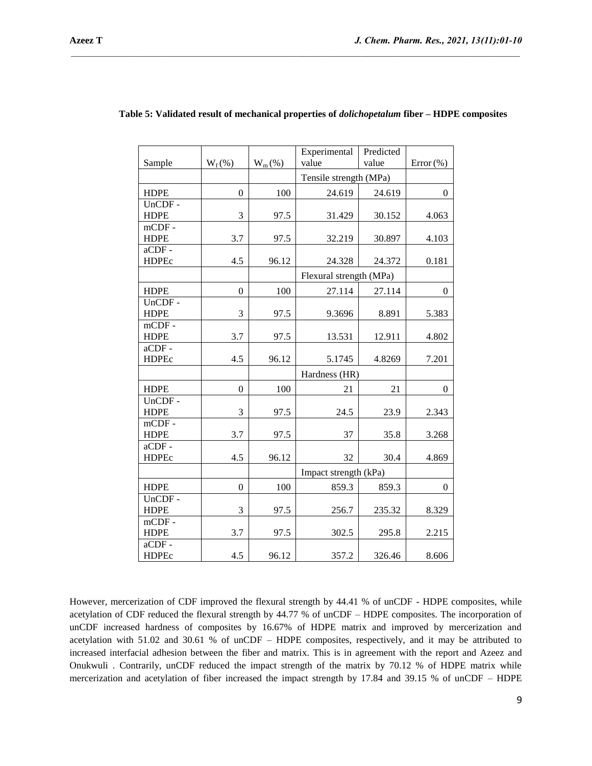|              |                  |           | Experimental            | Predicted |                  |
|--------------|------------------|-----------|-------------------------|-----------|------------------|
| Sample       | $W_f(\%)$        | $W_m(\%)$ | value<br>value          |           | Error(%)         |
|              |                  |           | Tensile strength (MPa)  |           |                  |
| <b>HDPE</b>  | $\overline{0}$   | 100       | 24.619                  | 24.619    | $\Omega$         |
| UnCDF-       |                  |           |                         |           |                  |
| <b>HDPE</b>  | 3                | 97.5      | 31.429                  | 30.152    | 4.063            |
| $mCDF -$     |                  |           |                         |           |                  |
| <b>HDPE</b>  | 3.7              | 97.5      | 32.219                  | 30.897    | 4.103            |
| aCDF-        |                  |           |                         |           |                  |
| <b>HDPEc</b> | 4.5              | 96.12     | 24.328                  | 24.372    | 0.181            |
|              |                  |           | Flexural strength (MPa) |           |                  |
| <b>HDPE</b>  | $\overline{0}$   | 100       | 27.114                  | 27.114    | $\Omega$         |
| UnCDF-       |                  |           |                         |           |                  |
| <b>HDPE</b>  | 3                | 97.5      | 9.3696                  | 8.891     | 5.383            |
| $mCDF -$     |                  |           |                         |           |                  |
| <b>HDPE</b>  | 3.7              | 97.5      | 13.531                  | 12.911    | 4.802            |
| aCDF-        |                  |           |                         |           |                  |
| <b>HDPEc</b> | 4.5              | 96.12     | 5.1745                  | 4.8269    | 7.201            |
|              |                  |           | Hardness (HR)           |           |                  |
| <b>HDPE</b>  | $\overline{0}$   | 100       | 21                      | 21        | $\theta$         |
| UnCDF-       |                  |           |                         |           |                  |
| <b>HDPE</b>  | 3                | 97.5      | 24.5                    | 23.9      | 2.343            |
| $mCDF -$     |                  |           |                         |           |                  |
| <b>HDPE</b>  | 3.7              | 97.5      | 37                      | 35.8      | 3.268            |
| aCDF-        |                  |           |                         |           |                  |
| <b>HDPEc</b> | 4.5              | 96.12     | 32                      | 30.4      | 4.869            |
|              |                  |           | Impact strength (kPa)   |           |                  |
| <b>HDPE</b>  | $\boldsymbol{0}$ | 100       | 859.3                   | 859.3     | $\boldsymbol{0}$ |
| UnCDF-       |                  |           |                         |           |                  |
| <b>HDPE</b>  | 3                | 97.5      | 256.7                   | 235.32    | 8.329            |
| $mCDF -$     |                  |           |                         |           |                  |
| <b>HDPE</b>  | 3.7              | 97.5      | 302.5                   | 295.8     | 2.215            |
| aCDF -       |                  |           |                         |           |                  |
| <b>HDPEc</b> | 4.5              | 96.12     | 357.2                   | 326.46    | 8.606            |

### **Table 5: Validated result of mechanical properties of** *dolichopetalum* **fiber – HDPE composites**

 $\mathcal{L}_\mathcal{L} = \mathcal{L}_\mathcal{L}$ 

However, mercerization of CDF improved the flexural strength by 44.41 % of unCDF - HDPE composites, while acetylation of CDF reduced the flexural strength by 44.77 % of unCDF – HDPE composites. The incorporation of unCDF increased hardness of composites by 16.67% of HDPE matrix and improved by mercerization and acetylation with 51.02 and 30.61 % of unCDF – HDPE composites, respectively, and it may be attributed to increased interfacial adhesion between the fiber and matrix. This is in agreement with the report and Azeez and Onukwuli . Contrarily, unCDF reduced the impact strength of the matrix by 70.12 % of HDPE matrix while mercerization and acetylation of fiber increased the impact strength by 17.84 and 39.15 % of unCDF – HDPE